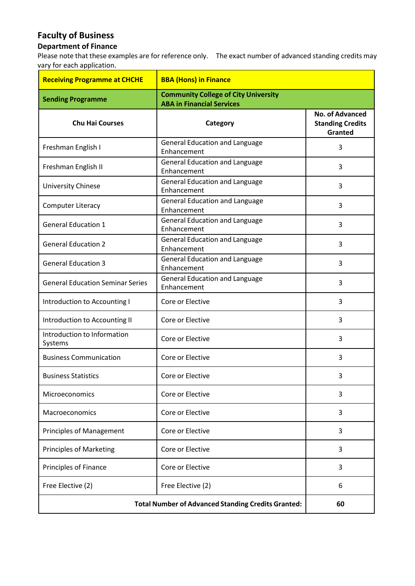## **Faculty of Business**

## **Department of Finance**

Please note that these examples are for reference only. The exact number of advanced standing credits may vary for each application.

| <b>Receiving Programme at CHCHE</b>                       | <b>BBA (Hons) in Finance</b>                                                    |                                                              |
|-----------------------------------------------------------|---------------------------------------------------------------------------------|--------------------------------------------------------------|
| <b>Sending Programme</b>                                  | <b>Community College of City University</b><br><b>ABA in Financial Services</b> |                                                              |
| <b>Chu Hai Courses</b>                                    | Category                                                                        | <b>No. of Advanced</b><br><b>Standing Credits</b><br>Granted |
| Freshman English I                                        | <b>General Education and Language</b><br>Enhancement                            | 3                                                            |
| Freshman English II                                       | <b>General Education and Language</b><br>Enhancement                            | 3                                                            |
| <b>University Chinese</b>                                 | <b>General Education and Language</b><br>Enhancement                            | 3                                                            |
| <b>Computer Literacy</b>                                  | <b>General Education and Language</b><br>Enhancement                            | 3                                                            |
| <b>General Education 1</b>                                | <b>General Education and Language</b><br>Enhancement                            | 3                                                            |
| <b>General Education 2</b>                                | <b>General Education and Language</b><br>Enhancement                            | 3                                                            |
| <b>General Education 3</b>                                | <b>General Education and Language</b><br>Enhancement                            | 3                                                            |
| <b>General Education Seminar Series</b>                   | <b>General Education and Language</b><br>Enhancement                            | 3                                                            |
| Introduction to Accounting I                              | Core or Elective                                                                | 3                                                            |
| Introduction to Accounting II                             | Core or Elective                                                                | 3                                                            |
| Introduction to Information<br>Systems                    | Core or Elective                                                                | 3                                                            |
| <b>Business Communication</b>                             | Core or Elective                                                                | 3                                                            |
| <b>Business Statistics</b>                                | Core or Elective                                                                | 3                                                            |
| Microeconomics                                            | Core or Elective                                                                | 3                                                            |
| Macroeconomics                                            | Core or Elective                                                                | 3                                                            |
| <b>Principles of Management</b>                           | Core or Elective                                                                | 3                                                            |
| <b>Principles of Marketing</b>                            | Core or Elective                                                                | 3                                                            |
| <b>Principles of Finance</b>                              | Core or Elective                                                                | 3                                                            |
| Free Elective (2)                                         | Free Elective (2)                                                               | 6                                                            |
| <b>Total Number of Advanced Standing Credits Granted:</b> |                                                                                 | 60                                                           |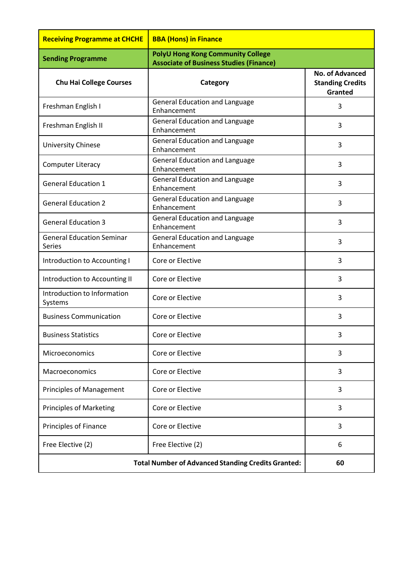| <b>Receiving Programme at CHCHE</b>                       | <b>BBA (Hons) in Finance</b>                                                               |                                                              |
|-----------------------------------------------------------|--------------------------------------------------------------------------------------------|--------------------------------------------------------------|
| <b>Sending Programme</b>                                  | <b>PolyU Hong Kong Community College</b><br><b>Associate of Business Studies (Finance)</b> |                                                              |
| <b>Chu Hai College Courses</b>                            | Category                                                                                   | <b>No. of Advanced</b><br><b>Standing Credits</b><br>Granted |
| Freshman English I                                        | <b>General Education and Language</b><br>Enhancement                                       | 3                                                            |
| Freshman English II                                       | <b>General Education and Language</b><br>Enhancement                                       | 3                                                            |
| <b>University Chinese</b>                                 | <b>General Education and Language</b><br>Enhancement                                       | 3                                                            |
| <b>Computer Literacy</b>                                  | <b>General Education and Language</b><br>Enhancement                                       | 3                                                            |
| <b>General Education 1</b>                                | <b>General Education and Language</b><br>Enhancement                                       | 3                                                            |
| <b>General Education 2</b>                                | <b>General Education and Language</b><br>Enhancement                                       | 3                                                            |
| <b>General Education 3</b>                                | <b>General Education and Language</b><br>Enhancement                                       | 3                                                            |
| <b>General Education Seminar</b><br><b>Series</b>         | <b>General Education and Language</b><br>Enhancement                                       | 3                                                            |
| Introduction to Accounting I                              | Core or Elective                                                                           | 3                                                            |
| Introduction to Accounting II                             | Core or Elective                                                                           | 3                                                            |
| Introduction to Information<br>Systems                    | Core or Elective                                                                           | 3                                                            |
| <b>Business Communication</b>                             | Core or Elective                                                                           | 3                                                            |
| <b>Business Statistics</b>                                | Core or Elective                                                                           | 3                                                            |
| Microeconomics                                            | Core or Elective                                                                           | 3                                                            |
| Macroeconomics                                            | Core or Elective                                                                           | 3                                                            |
| <b>Principles of Management</b>                           | Core or Elective                                                                           | 3                                                            |
| <b>Principles of Marketing</b>                            | Core or Elective                                                                           | 3                                                            |
| Principles of Finance                                     | Core or Elective                                                                           | 3                                                            |
| Free Elective (2)                                         | Free Elective (2)                                                                          | 6                                                            |
| <b>Total Number of Advanced Standing Credits Granted:</b> |                                                                                            | 60                                                           |